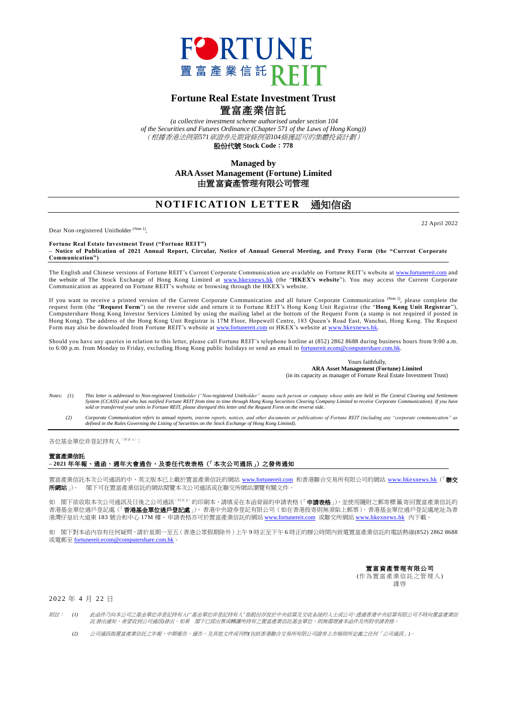

## **Fortune Real Estate Investment Trust** 置富產業信託

*(a collective investment scheme authorised under section 104 of the Securities and Futures Ordinance (Chapter 571 of the Laws of Hong Kong))* (根據香港法例第*571*章證券及期貨條例第*104*條獲認可的集體投資計劃)

股份代號 **Stock Code**:**778**

**Managed by ARA Asset Management (Fortune) Limited** 由置富資產管理有限公司管理

## **NOTIFICATION LETTER 涌知信函**

Dear Non-registered Unitholder<sup>(Note 1)</sup>,

22 April 2022

**Fortune Real Estate Investment Trust ("Fortune REIT") – Notice of Publication of 2021 Annual Report, Circular, Notice of Annual General Meeting, and Proxy Form (the "Current Corporate Communication")**

The English and Chinese versions of Fortune REIT's Current Corporate Communication are available on Fortune REIT's website at [www.fortunereit.com](http://www.fortunereit.com/) and the website of The Stock Exchange of Hong Kong Limited at [www.hkexnews.hk](http://www.hkexnews.hk/) (the "**HKEX's website**"). You may access the Current Corporate Communication as appeared on Fortune REIT's website or browsing through the HKEX's website.

If you want to receive a printed version of the Current Corporate Communication and all future Corporate Communication (Note 2), please complete the request form (the "**Request Form**") on the reverse side and return it to Fortune REIT's Hong Kong Unit Registrar (the "**Hong Kong Unit Registrar**"), Computershare Hong Kong Investor Services Limited by using the mailing label at the bottom of the Request Form (a stamp is not required if posted in Hong Kong). The address of the Hong Kong Unit Registrar is 17M Floor, Hopewell Centre, 183 Queen's Road East, Wanchai, Hong Kong. The Request Form may also be downloaded from Fortune REIT's website at [www.fortunereit.com](http://www.fortunereit.com/) or HKEX's website a[t www.hkexnews.hk.](http://www.hkexnews.hk/)

Should you have any queries in relation to this letter, please call Fortune REIT's telephone h otline at (852) 2862 8688 during business hours from 9:00 a.m. to 6:00 p.m. from Monday to Friday, excluding Hong Kong public holidays or send an email to fortunereit.ecom@computershare.com.hk

> Yours faithfully, **ARA Asset Management (Fortune) Limited** (in its capacity as manager of Fortune Real Estate Investment Trust)

- *Notes: (1) This letter is addressed to Non-registered Unitholder ("Non-registered Unitholder" means such person or company whose units are held in The Central Clearing and Settlement System (CCASS) and who has notified Fortune REIT from time to time through Hong Kong Securities Clearing Company Limited to receive Corporate Communication). If you have sold or transferred your units in Fortune REIT, please disregard this letter and the Request Form on the reverse side.*
	- (2) Corporate Communication refers to annual reports, interim reports, notices, and other documents or publications of Fortune REIT (including any "corporate communication" as<br>defined in the Rules Governing the Listing of

各位基金單位非登記持有人(附註 <sup>1</sup>):

## 置富產業信託

## **– 2021** 年年報、通函、週年大會通告,及委任代表表格(「本次公司通訊」)之發佈通知

置富產業信託本次公司通訊的中、英文版本已上載於置富產業信託的網站 [www.fortunereit.com](http://www.fortunereit.com/) 和香港聯合交易所有限公司的網站 [www.hkexnews.hk](http://www.hkexnews.hk/) (「**聯交** 所網站」)。 閣下可在置富產業信託的網站閱覽本次公司通訊或在聯交所網站瀏覽有關文件。

如 閣下欲收取本次公司通訊及日後之公司通訊<sup>(附註2)</sup>的印刷本,請填妥在本函背面的申請表格(「**申請表格**」),並使用隨附之郵寄標籤寄回置富產業信託的 香港基金單位過戶登記處(「**香港基金單位過戶登記處**」),香港中央證券登記有限公司(如在香港投寄則無須貼上郵票)。香港基金單位過戶登記處地址為香 港灣仔皇后大道東 183 號合和中心 17M 樓。申請表格亦可於置富產業信託的網站 [www.fortunereit.com](http://www.fortunereit.com/) 或聯交所網站 [www.hkexnews.hk](http://www.hkexnews.hk/) 內下載。

如 閣下對本函內容有任何疑問,請於星期一至五(香港公眾假期除外)上午 9 時正至下午 6 時正的辦公時間內致電置富產業信託的電話熱線(852) 2862 8688 或電郵至 [fortunereit.ecom@computershare.com.hk](mailto:fortunereit.ecom@computershare.com.hk)。

> 置富資產管理有限公司 (作為置富產業信託之管理人) 謹啓

2022 年 4 月 22 日

附註: *(1)* 此函件乃向本公司之基金單位非登記持有人*("*基金單位非登記持有人*"*指股份存放於中央結算及交收系統的人士或公司,透過香港中央結算有限公司不時向置富產業信 託發出通知,希望收到公司通訊*)*發出。如果 閣下已經出售或轉讓所持有之置富產業信託基金單位,則無需理會本函件及所附申請表格。

*(2)* 公司通訊指置富產業信託之年報、中期報告、通告,及其他文件或刊物*(*包括香港聯合交易所有限公司證券上市規則所定義之任何「公司通訊」*)*。